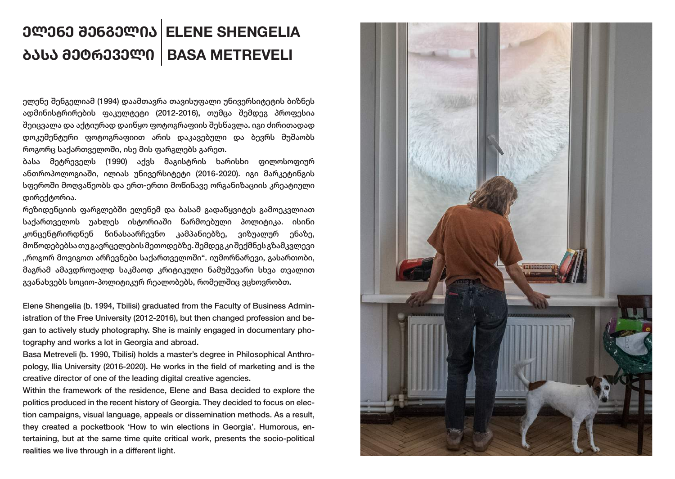# **ᲔᲚᲔᲜᲔ ᲨᲔᲜᲒᲔᲚᲘᲐ ELENE SHENGELIA ᲑᲐᲡᲐ ᲛᲔᲢᲠᲔᲕᲔᲚᲘ BASA METREVELI**

ელენე შენგელიამ (1994) დაამთავრა თავისუფალი უნივერსიტეტის ბიზნეს ადმინისტრირების ფაკულტეტი (2012-2016), თუმცა შემდეგ პროფესია შეიცვალა და აქტიურად დაიწყო ფოტოგრაფიის შესწავლა. იგი ძირითადად დოკუმენტური ფოტოგრაფიით არის დაკავებული და ბევრს მუშაობს როგორც საქართველოში, ისე მის ფარგლებს გარეთ.

ბასა მეტრეველს (1990) აქვს მაგისტრის ხარისხი ფილოსოფიურ ანთროპოლოგიაში, ილიას უნივერსიტეტი (2016-2020). იგი მარკეტინგის სფეროში მოღვაწეობს და ერთ-ერთი მოწინავე ორგანიზაციის კრეატიული დირექტორია.

რეზიდენციის ფარგლებში ელენემ და ბასამ გადაწყვიტეს გამოეკვლიათ საქართველოს უახლეს ისტორიაში წარმოებული პოლიტიკა. ისინი კონცენტრირდნენ წინასაარჩევნო კამპანიებზე, ვიზუალურ ენაზე, მოწოდებებსა თუ გავრცელების მეთოდებზე. შემდეგ კი შექმნეს გზამკვლევი "როგორ მოვიგოთ არჩევნები საქართველოში". იუმორნარევი, გასართობი, მაგრამ ამავდროუალდ საკმაოდ კრიტიკული ნამუშევარი სხვა თვალით გვანახვებს სოციო-პოლიტიკურ რეალობებს, რომელშიც ვცხოვრობთ.

Elene Shengelia (b. 1994, Tbilisi) graduated from the Faculty of Business Administration of the Free University (2012-2016), but then changed profession and began to actively study photography. She is mainly engaged in documentary photography and works a lot in Georgia and abroad.

Basa Metreveli (b. 1990, Tbilisi) holds a master's degree in Philosophical Anthropology, Ilia University (2016-2020). He works in the field of marketing and is the creative director of one of the leading digital creative agencies.

Within the framework of the residence, Elene and Basa decided to explore the politics produced in the recent history of Georgia. They decided to focus on election campaigns, visual language, appeals or dissemination methods. As a result, they created a pocketbook 'How to win elections in Georgia'. Humorous, entertaining, but at the same time quite critical work, presents the socio-political realities we live through in a different light.

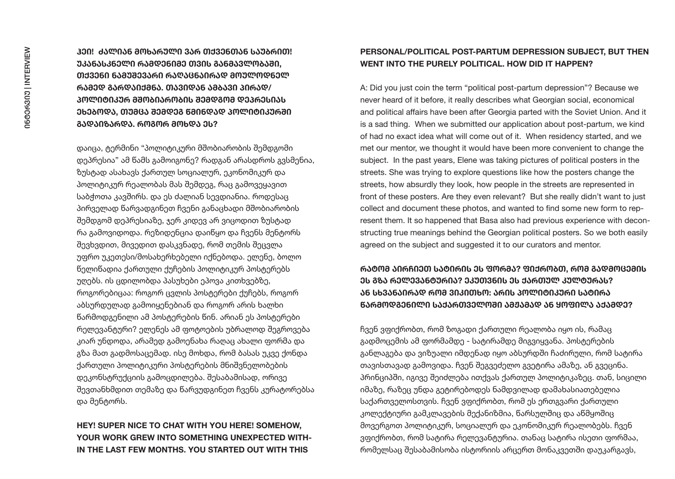**ᲰᲔᲘ! ᲫᲐᲚᲘᲐᲜ ᲛᲝᲮᲐᲠᲣᲚᲘ ᲕᲐᲠ ᲗᲥᲕᲔᲜᲗᲐᲜ ᲡᲐᲣᲑᲠᲘᲗ! ᲣᲙᲐᲜᲐᲡᲙᲜᲔᲚᲘ ᲠᲐᲛᲓᲔᲜᲘᲛᲔ ᲗᲕᲘᲡ ᲒᲐᲜᲛᲐᲕᲚᲝᲑᲐᲨᲘ, ᲗᲥᲕᲔᲜᲘ ᲜᲐᲛᲣᲨᲔᲕᲐᲠᲘ ᲠᲐᲦᲐᲪᲜᲐᲘᲠᲐᲓ ᲛᲝᲣᲚᲝᲓᲜᲔᲚ ᲠᲐᲛᲔᲓ ᲒᲐᲠᲓᲐᲘᲥᲛᲜᲐ. ᲗᲐᲕᲘᲓᲐᲜ ᲐᲛᲑᲐᲕᲘ ᲞᲘᲠᲐᲓ/ ᲞᲝᲚᲘᲢᲘᲙᲣᲠ ᲛᲨᲝᲑᲘᲐᲠᲝᲑᲘᲡ ᲨᲔᲛᲓᲒᲝᲛ ᲓᲔᲞᲠᲔᲡᲘᲐᲡ ᲔᲮᲔᲑᲝᲓᲐ, ᲗᲣᲛᲪᲐ ᲨᲔᲛᲓᲔᲒ ᲬᲛᲘᲜᲓᲐᲓ ᲞᲝᲚᲘᲢᲘᲙᲣᲠᲨᲘ ᲒᲐᲓᲐᲘᲖᲐᲠᲓᲐ. ᲠᲝᲒᲝᲠ ᲛᲝᲮᲓᲐ ᲔᲡ?**

დაიცა, ტერმინი "პოლიტიკური მშობიარობის შემდგომი დეპრესია" ამ წამს გამოიგონე? რადგან არასდროს გვსმენია, ზუსტად ასახავს ქართულ სოციალურ, ეკონომიკურ და პოლიტიკურ რეალობას მას შემდეგ, რაც გამოვეყავით საბჭოთა კავშირს. და ეს ძალიან სევდიანია. როდესაც პირველად წარვადგინეთ ჩვენი განაცხადი მშობიარობის შემდგომ დეპრესიაზე, ჯერ კიდევ არ ვიცოდით ზუსტად რა გამოვიდოდა. რეზიდენცია დაიწყო და ჩვენს მენტორს შევხვდით, მივედით დასკვნადე, რომ თემის შეცვლა უფრო უკეთესი/მოსახერხებელი იქნებოდა. ელენე, ბოლო წელიწადია ქართული ქუჩების პოლიტიკურ პოსტერებს უღებს. ის ცდილობდა პასუხები ეპოვა კითხვებზე, როგორებიცაა: როგორ ცვლის პოსტერები ქუჩებს, როგორ აბსურდულად გამოიყენებიან და როგორ არის ხალხი წარმოდგენილი ამ პოსტერების წინ. არიან ეს პოსტერები რელევანტური? ელენეს ამ ფოტოების უბრალოდ შეგროვება კიარ უნდოდა, არამედ გამოენახა რაღაც ახალი ფორმა და გზა მათ გადმოსაცემად. ისე მოხდა, რომ ბასას უკვე ქონდა ქართული პოლიტიკური პოსტერების მნიშვნელობების დეკონსტრუქციის გამოცდილება. შესაბამისად, ორივე შევთანხმდით თემაზე და წარვუდგინეთ ჩვენს კურატორებსა და მენტორს.

#### **HEY! SUPER NICE TO CHAT WITH YOU HERE! SOMEHOW, YOUR WORK GREW INTO SOMETHING UNEXPECTED WITH-IN THE LAST FEW MONTHS. YOU STARTED OUT WITH THIS**

#### **PERSONAL/POLITICAL POST-PARTUM DEPRESSION SUBJECT, BUT THEN WENT INTO THE PURELY POLITICAL. HOW DID IT HAPPEN?**

A: Did you just coin the term "political post-partum depression"? Because we never heard of it before, it really describes what Georgian social, economical and political affairs have been after Georgia parted with the Soviet Union. And it is a sad thing. When we submitted our application about post-partum, we kind of had no exact idea what will come out of it. When residency started, and we met our mentor, we thought it would have been more convenient to change the subject. In the past years, Elene was taking pictures of political posters in the streets. She was trying to explore questions like how the posters change the streets, how absurdly they look, how people in the streets are represented in front of these posters. Are they even relevant? But she really didn't want to just collect and document these photos, and wanted to find some new form to represent them. It so happened that Basa also had previous experience with deconstructing true meanings behind the Georgian political posters. So we both easily agreed on the subject and suggested it to our curators and mentor.

### **ᲠᲐᲢᲝᲛ ᲐᲘᲠᲩᲘᲔᲗ ᲡᲐᲢᲘᲠᲘᲡ ᲔᲡ ᲤᲝᲠᲛᲐ? ᲤᲘᲥᲠᲝᲑᲗ, ᲠᲝᲛ ᲒᲐᲓᲛᲝᲪᲔᲛᲘᲡ ᲔᲡ ᲒᲖᲐ ᲠᲔᲚᲔᲕᲐᲜᲢᲣᲠᲘᲐ? ᲔᲙᲣᲗᲕᲜᲘᲡ ᲔᲡ ᲥᲐᲠᲗᲣᲚ ᲙᲣᲚᲢᲣᲠᲐᲡ? ᲐᲜ ᲡᲮᲕᲐᲜᲐᲘᲠᲐᲓ ᲠᲝᲛ ᲕᲘᲙᲘᲗᲮᲝ: ᲐᲠᲘᲡ ᲞᲝᲚᲘᲢᲘᲙᲣᲠᲘ ᲡᲐᲢᲘᲠᲐ ᲬᲐᲠᲛᲝᲓᲒᲔᲜᲘᲚᲘ ᲡᲐᲥᲐᲠᲗᲕᲔᲚᲝᲨᲘ ᲐᲛᲟᲐᲛᲐᲓ ᲐᲜ ᲧᲝᲤᲘᲚᲐ ᲐᲥᲐᲛᲓᲔ?**

ჩვენ ვფიქრობთ, რომ ზოგადი ქართული რეალობა იყო ის, რამაც გადმოცემის ამ ფორმამდე - სატირამდე მიგვიყვანა. პოსტერების განლაგება და ვიზუალი იმდენად იყო აბსურდში ჩაძირული, რომ სატირა თავისთავად გამოვიდა. ჩვენ შეგვეძელო გვეტირა ამაზე, ან გვეცინა. პრინციპში, იგივე შეიძლება ითქვას ქართულ პოლიტიკაზეც. თან, სიცილი იმაზე, რაზეც უნდა გეტირებოდეს ნამდვილად დამახასიათებელია საქართველოსთვის. ჩვენ ვფიქრობთ, რომ ეს ერთგვარი ქართული კოლექტიური გამკლავების მექანიზმია, წარსულშიც და აწმყოშიც მოვერგოთ პოლიტიკურ, სოციალურ და ეკონომიკურ რეალობებს. ჩვენ ვფიქრობთ, რომ სატირა რელევანტურია. თანაც სატირა ისეთი ფორმაა, რომელსაც შესაბამისობა ისტორიის არცერთ მონაკვეთში დაუკარგავს,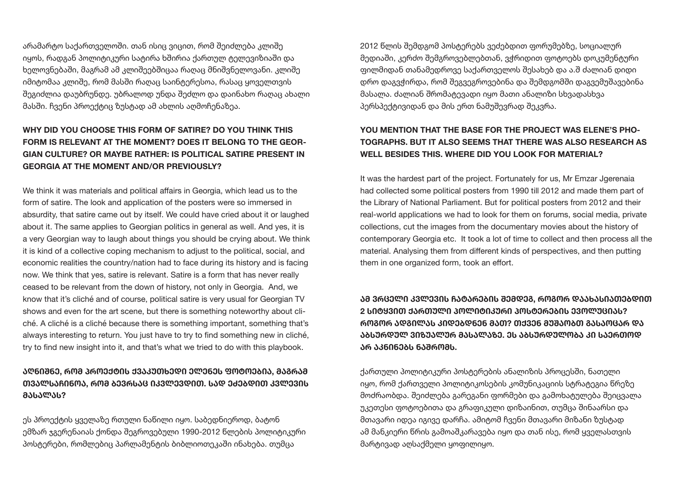არამარტო საქართველოში. თან ისიც ვიცით, რომ შეიძლება კლიშე იყოს, რადგან პოლიტიკური სატირა ხშირია ქართულ ტელევიზიაში და ხელოვნებაში, მაგრამ ამ კლიშეებშიცაა რაღაც მნიშვნელოვანი. კლიშე იმიტომაა კლიშე, რომ მასში რაღაც საინტერესოა, რასაც ყოველთვის შეგიძლია დაუბრუნდე. უბრალოდ უნდა შეძლო და დაინახო რაღაც ახალი მასში. ჩვენი პროექტიც ზუსტად ამ ახლის აღმოჩენაზეა.

### **WHY DID YOU CHOOSE THIS FORM OF SATIRE? DO YOU THINK THIS FORM IS RELEVANT AT THE MOMENT? DOES IT BELONG TO THE GEOR-GIAN CULTURE? OR MAYBE RATHER: IS POLITICAL SATIRE PRESENT IN GEORGIA AT THE MOMENT AND/OR PREVIOUSLY?**

We think it was materials and political affairs in Georgia, which lead us to the form of satire. The look and application of the posters were so immersed in absurdity, that satire came out by itself. We could have cried about it or laughed about it. The same applies to Georgian politics in general as well. And yes, it is a very Georgian way to laugh about things you should be crying about. We think it is kind of a collective coping mechanism to adjust to the political, social, and economic realities the country/nation had to face during its history and is facing now. We think that yes, satire is relevant. Satire is a form that has never really ceased to be relevant from the down of history, not only in Georgia. And, we know that it's cliché and of course, political satire is very usual for Georgian TV shows and even for the art scene, but there is something noteworthy about cliché. A cliché is a cliché because there is something important, something that's always interesting to return. You just have to try to find something new in cliché, try to find new insight into it, and that's what we tried to do with this playbook.

#### **ᲐᲦᲜᲘᲨᲜᲔ, ᲠᲝᲛ ᲞᲠᲝᲔᲥᲢᲘᲡ ᲥᲕᲐᲙᲣᲗᲮᲔᲓᲘ ᲔᲚᲔᲜᲔᲡ ᲤᲝᲢᲝᲔᲑᲘᲐ, ᲛᲐᲒᲠᲐᲛ ᲗᲕᲐᲚᲡᲐᲩᲘᲜᲝᲐ, ᲠᲝᲛ ᲑᲔᲕᲠᲡᲐᲪ ᲘᲙᲕᲚᲔᲕᲓᲘᲗ. ᲡᲐᲓ ᲔᲫᲔᲑᲓᲘᲗ ᲙᲕᲚᲔᲕᲘᲡ ᲛᲐᲡᲐᲚᲐᲡ?**

ეს პროექტის ყველაზე რთული ნაწილი იყო. საბედნიეროდ, ბატონ ემზარ ჯგერენაიას ქონდა შეგროვებული 1990-2012 წლების პოლიტიკური პოსტერები, რომლებიც პარლამენტის ბიბლიოთეკაში ინახება. თუმცა

2012 წლის შემდგომ პოსტერებს ვეძებდით ფორუმებზე, სოციალურ მედიაში, კერძო შემგროვებლებთან, ვჭრიდით ფოტოებს დოკუმენტური ფილმიდან თანამედროვე საქართველოს შესახებ და ა.შ ძალიან დიდი დრო დაგვჭირდა, რომ შეგვეგროვებინა და შემდგომში დაგვემუშავებინა მასალა. ძალიან შრომატევადი იყო მათი ანალიზი სხვადასხვა პერსპექტივიდან და მის ერთ ნამუშევრად შეკვრა.

# **YOU MENTION THAT THE BASE FOR THE PROJECT WAS ELENE'S PHO-TOGRAPHS. BUT IT ALSO SEEMS THAT THERE WAS ALSO RESEARCH AS WELL BESIDES THIS. WHERE DID YOU LOOK FOR MATERIAL?**

It was the hardest part of the project. Fortunately for us, Mr Emzar Jgerenaia had collected some political posters from 1990 till 2012 and made them part of the Library of National Parliament. But for political posters from 2012 and their real-world applications we had to look for them on forums, social media, private collections, cut the images from the documentary movies about the history of contemporary Georgia etc. It took a lot of time to collect and then process all the material. Analysing them from different kinds of perspectives, and then putting them in one organized form, took an effort.

**ᲐᲛ ᲕᲠᲪᲔᲚᲘ ᲙᲕᲚᲔᲕᲘᲡ ᲩᲐᲢᲐᲠᲔᲑᲘᲡ ᲨᲔᲛᲓᲔᲒ, ᲠᲝᲒᲝᲠ ᲓᲐᲐᲮᲐᲡᲘᲐᲗᲔᲑᲓᲘᲗ 2 ᲡᲘᲢᲧᲕᲘᲗ ᲥᲐᲠᲗᲣᲚᲘ ᲞᲝᲚᲘᲢᲘᲙᲣᲠᲘ ᲞᲝᲡᲢᲔᲠᲔᲑᲘᲡ ᲔᲕᲝᲚᲣᲪᲘᲐᲡ? ᲠᲝᲒᲝᲠ ᲐᲓᲒᲘᲚᲐᲡ ᲙᲘᲓᲔᲑᲓᲜᲔᲜ ᲛᲐᲗ? ᲗᲥᲕᲔᲜ ᲛᲣᲨᲐᲝᲑᲗ ᲒᲐᲡᲐᲝᲪᲐᲠ ᲓᲐ ᲐᲑᲡᲣᲠᲓᲣᲚ ᲕᲘᲖᲣᲐᲚᲣᲠ ᲛᲐᲡᲐᲚᲐᲖᲔ. ᲔᲡ ᲐᲑᲡᲣᲠᲓᲣᲚᲝᲑᲐ ᲙᲘ ᲡᲐᲔᲠᲗᲝᲓ ᲐᲠ ᲐᲙᲜᲘᲜᲔᲑᲡ ᲜᲐᲨᲠᲝᲛᲡ.**

ქართული პოლიტიკური პოსტერების ანალიზის პროცესში, ნათელი იყო, რომ ქართველი პოლიტიკოსების კომუნიკაციის სტრატეგია წრეზე მოძრაობდა. შეიძლება გარეგანი ფორმები და გამოხატულება შეიცვალა უკეთესი ფოტოებითა და გრაფიკული დიზაინით, თუმცა შინაარსი და მთავარი იდეა იგივე დარჩა. ამიტომ ჩვენი მთავარი მიზანი ზუსტად ამ მანკიერი წრის გამოაშკარავება იყო და თან ისე, რომ ყველასთვის მარტივად აღსაქმელი ყოფილიყო.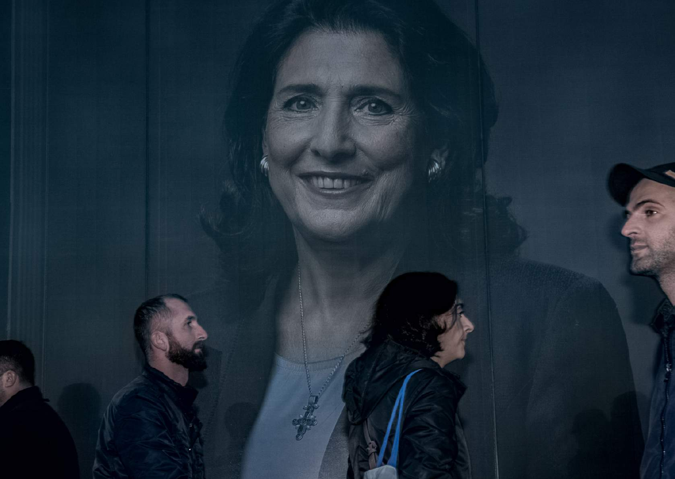